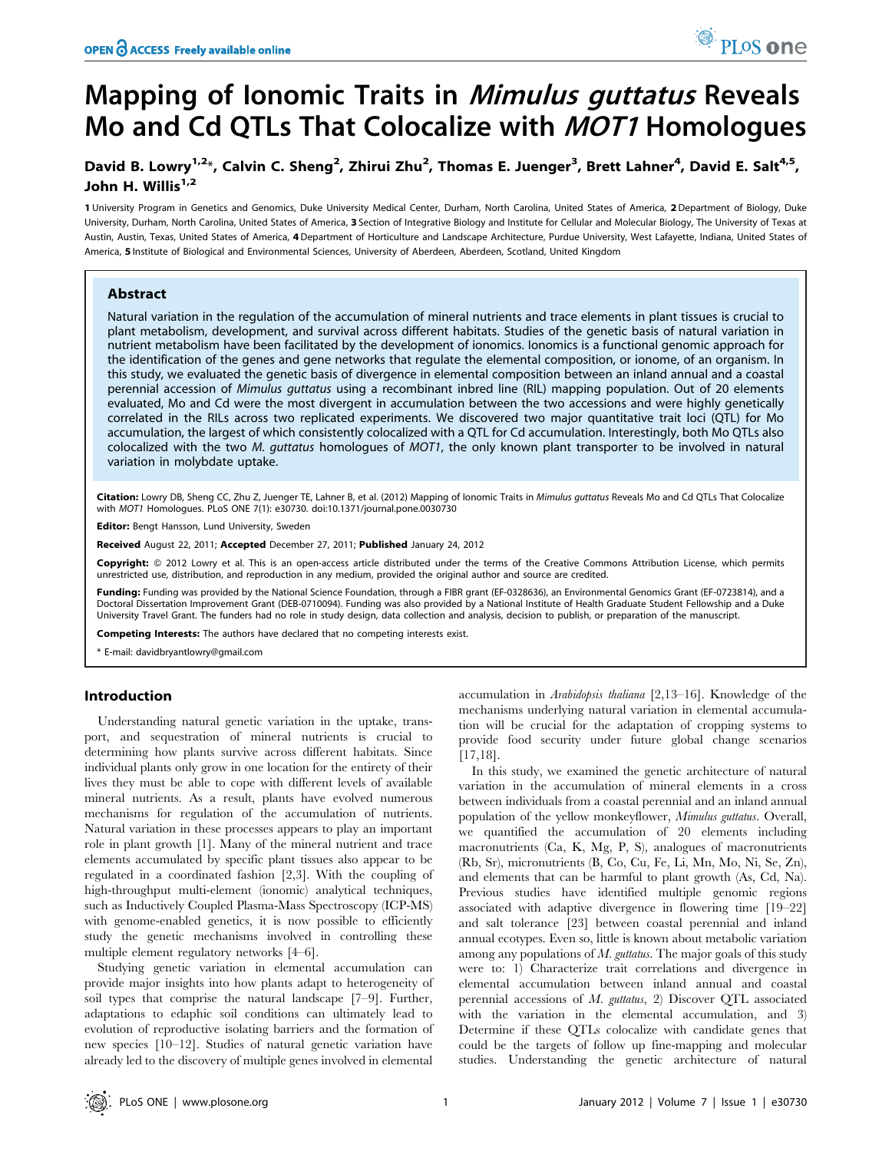# Mapping of Ionomic Traits in Mimulus guttatus Reveals Mo and Cd QTLs That Colocalize with MOT1 Homologues

## David B. Lowry<sup>1,2\*</sup>, Calvin C. Sheng<sup>2</sup>, Zhirui Zhu<sup>2</sup>, Thomas E. Juenger<sup>3</sup>, Brett Lahner<sup>4</sup>, David E. Salt<sup>4,5</sup>, John H. Willis $1,2$

1 University Program in Genetics and Genomics, Duke University Medical Center, Durham, North Carolina, United States of America, 2 Department of Biology, Duke University, Durham, North Carolina, United States of America, 3 Section of Integrative Biology and Institute for Cellular and Molecular Biology, The University of Texas at Austin, Austin, Texas, United States of America, 4Department of Horticulture and Landscape Architecture, Purdue University, West Lafayette, Indiana, United States of America, 5 Institute of Biological and Environmental Sciences, University of Aberdeen, Aberdeen, Scotland, United Kingdom

## Abstract

Natural variation in the regulation of the accumulation of mineral nutrients and trace elements in plant tissues is crucial to plant metabolism, development, and survival across different habitats. Studies of the genetic basis of natural variation in nutrient metabolism have been facilitated by the development of ionomics. Ionomics is a functional genomic approach for the identification of the genes and gene networks that regulate the elemental composition, or ionome, of an organism. In this study, we evaluated the genetic basis of divergence in elemental composition between an inland annual and a coastal perennial accession of Mimulus guttatus using a recombinant inbred line (RIL) mapping population. Out of 20 elements evaluated, Mo and Cd were the most divergent in accumulation between the two accessions and were highly genetically correlated in the RILs across two replicated experiments. We discovered two major quantitative trait loci (QTL) for Mo accumulation, the largest of which consistently colocalized with a QTL for Cd accumulation. Interestingly, both Mo QTLs also colocalized with the two M. guttatus homologues of MOT1, the only known plant transporter to be involved in natural variation in molybdate uptake.

Citation: Lowry DB, Sheng CC, Zhu Z, Juenger TE, Lahner B, et al. (2012) Mapping of Ionomic Traits in Mimulus guttatus Reveals Mo and Cd QTLs That Colocalize with MOT1 Homologues. PLoS ONE 7(1): e30730. doi:10.1371/journal.pone.0030730

Editor: Bengt Hansson, Lund University, Sweden

Received August 22, 2011; Accepted December 27, 2011; Published January 24, 2012

Copyright: © 2012 Lowry et al. This is an open-access article distributed under the terms of the Creative Commons Attribution License, which permits unrestricted use, distribution, and reproduction in any medium, provided the original author and source are credited.

Funding: Funding was provided by the National Science Foundation, through a FIBR grant (EF-0328636), an Environmental Genomics Grant (EF-0723814), and a Doctoral Dissertation Improvement Grant (DEB-0710094). Funding was also provided by a National Institute of Health Graduate Student Fellowship and a Duke University Travel Grant. The funders had no role in study design, data collection and analysis, decision to publish, or preparation of the manuscript.

Competing Interests: The authors have declared that no competing interests exist.

\* E-mail: davidbryantlowry@gmail.com

## Introduction

Understanding natural genetic variation in the uptake, transport, and sequestration of mineral nutrients is crucial to determining how plants survive across different habitats. Since individual plants only grow in one location for the entirety of their lives they must be able to cope with different levels of available mineral nutrients. As a result, plants have evolved numerous mechanisms for regulation of the accumulation of nutrients. Natural variation in these processes appears to play an important role in plant growth [1]. Many of the mineral nutrient and trace elements accumulated by specific plant tissues also appear to be regulated in a coordinated fashion [2,3]. With the coupling of high-throughput multi-element (ionomic) analytical techniques, such as Inductively Coupled Plasma-Mass Spectroscopy (ICP-MS) with genome-enabled genetics, it is now possible to efficiently study the genetic mechanisms involved in controlling these multiple element regulatory networks [4–6].

Studying genetic variation in elemental accumulation can provide major insights into how plants adapt to heterogeneity of soil types that comprise the natural landscape [7–9]. Further, adaptations to edaphic soil conditions can ultimately lead to evolution of reproductive isolating barriers and the formation of new species [10–12]. Studies of natural genetic variation have already led to the discovery of multiple genes involved in elemental

accumulation in Arabidopsis thaliana [2,13–16]. Knowledge of the mechanisms underlying natural variation in elemental accumulation will be crucial for the adaptation of cropping systems to provide food security under future global change scenarios [17,18].

PLoS one

In this study, we examined the genetic architecture of natural variation in the accumulation of mineral elements in a cross between individuals from a coastal perennial and an inland annual population of the yellow monkeyflower, Mimulus guttatus. Overall, we quantified the accumulation of 20 elements including macronutrients (Ca, K, Mg, P, S), analogues of macronutrients (Rb, Sr), micronutrients (B, Co, Cu, Fe, Li, Mn, Mo, Ni, Se, Zn), and elements that can be harmful to plant growth (As, Cd, Na). Previous studies have identified multiple genomic regions associated with adaptive divergence in flowering time [19–22] and salt tolerance [23] between coastal perennial and inland annual ecotypes. Even so, little is known about metabolic variation among any populations of  $M$ . guttatus. The major goals of this study were to: 1) Characterize trait correlations and divergence in elemental accumulation between inland annual and coastal perennial accessions of M. guttatus, 2) Discover QTL associated with the variation in the elemental accumulation, and 3) Determine if these QTLs colocalize with candidate genes that could be the targets of follow up fine-mapping and molecular studies. Understanding the genetic architecture of natural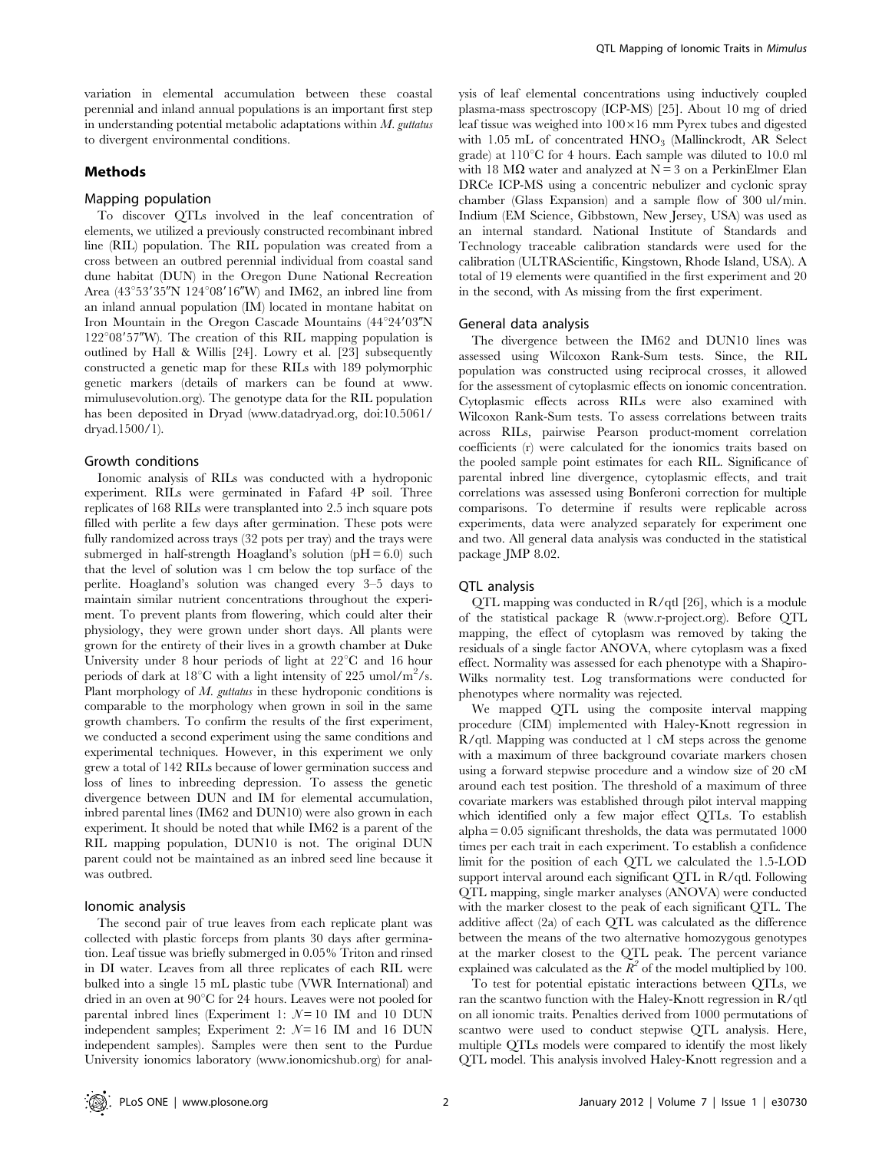variation in elemental accumulation between these coastal perennial and inland annual populations is an important first step in understanding potential metabolic adaptations within  $M$ . guttatus to divergent environmental conditions.

## Methods

#### Mapping population

To discover QTLs involved in the leaf concentration of elements, we utilized a previously constructed recombinant inbred line (RIL) population. The RIL population was created from a cross between an outbred perennial individual from coastal sand dune habitat (DUN) in the Oregon Dune National Recreation Area (43°53'35"N 124°08'16"W) and IM62, an inbred line from an inland annual population (IM) located in montane habitat on Iron Mountain in the Oregon Cascade Mountains  $(44^{\circ}24'03''N)$  $122^{\circ}08'57''$ W). The creation of this RIL mapping population is outlined by Hall & Willis [24]. Lowry et al. [23] subsequently constructed a genetic map for these RILs with 189 polymorphic genetic markers (details of markers can be found at www. mimulusevolution.org). The genotype data for the RIL population has been deposited in Dryad (www.datadryad.org, doi:10.5061/ dryad.1500/1).

## Growth conditions

Ionomic analysis of RILs was conducted with a hydroponic experiment. RILs were germinated in Fafard 4P soil. Three replicates of 168 RILs were transplanted into 2.5 inch square pots filled with perlite a few days after germination. These pots were fully randomized across trays (32 pots per tray) and the trays were submerged in half-strength Hoagland's solution  $(pH = 6.0)$  such that the level of solution was 1 cm below the top surface of the perlite. Hoagland's solution was changed every 3–5 days to maintain similar nutrient concentrations throughout the experiment. To prevent plants from flowering, which could alter their physiology, they were grown under short days. All plants were grown for the entirety of their lives in a growth chamber at Duke University under 8 hour periods of light at  $22^{\circ}$ C and 16 hour periods of dark at 18°C with a light intensity of 225 umol/m<sup>2</sup>/s. Plant morphology of  $M$ . guttatus in these hydroponic conditions is comparable to the morphology when grown in soil in the same growth chambers. To confirm the results of the first experiment, we conducted a second experiment using the same conditions and experimental techniques. However, in this experiment we only grew a total of 142 RILs because of lower germination success and loss of lines to inbreeding depression. To assess the genetic divergence between DUN and IM for elemental accumulation, inbred parental lines (IM62 and DUN10) were also grown in each experiment. It should be noted that while IM62 is a parent of the RIL mapping population, DUN10 is not. The original DUN parent could not be maintained as an inbred seed line because it was outbred.

#### Ionomic analysis

The second pair of true leaves from each replicate plant was collected with plastic forceps from plants 30 days after germination. Leaf tissue was briefly submerged in 0.05% Triton and rinsed in DI water. Leaves from all three replicates of each RIL were bulked into a single 15 mL plastic tube (VWR International) and dried in an oven at  $90^{\circ}$ C for 24 hours. Leaves were not pooled for parental inbred lines (Experiment 1:  $N = 10$  IM and 10 DUN independent samples; Experiment 2:  $N=16$  IM and 16 DUN independent samples). Samples were then sent to the Purdue University ionomics laboratory (www.ionomicshub.org) for analysis of leaf elemental concentrations using inductively coupled plasma-mass spectroscopy (ICP-MS) [25]. About 10 mg of dried leaf tissue was weighed into  $100\times16$  mm Pyrex tubes and digested with 1.05 mL of concentrated HNO<sub>3</sub> (Mallinckrodt, AR Select grade) at  $110^{\circ}$ C for 4 hours. Each sample was diluted to 10.0 ml with 18 M $\Omega$  water and analyzed at N = 3 on a PerkinElmer Elan DRCe ICP-MS using a concentric nebulizer and cyclonic spray chamber (Glass Expansion) and a sample flow of 300 ul/min. Indium (EM Science, Gibbstown, New Jersey, USA) was used as an internal standard. National Institute of Standards and Technology traceable calibration standards were used for the calibration (ULTRAScientific, Kingstown, Rhode Island, USA). A total of 19 elements were quantified in the first experiment and 20 in the second, with As missing from the first experiment.

#### General data analysis

The divergence between the IM62 and DUN10 lines was assessed using Wilcoxon Rank-Sum tests. Since, the RIL population was constructed using reciprocal crosses, it allowed for the assessment of cytoplasmic effects on ionomic concentration. Cytoplasmic effects across RILs were also examined with Wilcoxon Rank-Sum tests. To assess correlations between traits across RILs, pairwise Pearson product-moment correlation coefficients (r) were calculated for the ionomics traits based on the pooled sample point estimates for each RIL. Significance of parental inbred line divergence, cytoplasmic effects, and trait correlations was assessed using Bonferoni correction for multiple comparisons. To determine if results were replicable across experiments, data were analyzed separately for experiment one and two. All general data analysis was conducted in the statistical package JMP 8.02.

#### QTL analysis

QTL mapping was conducted in R/qtl [26], which is a module of the statistical package R (www.r-project.org). Before QTL mapping, the effect of cytoplasm was removed by taking the residuals of a single factor ANOVA, where cytoplasm was a fixed effect. Normality was assessed for each phenotype with a Shapiro-Wilks normality test. Log transformations were conducted for phenotypes where normality was rejected.

We mapped QTL using the composite interval mapping procedure (CIM) implemented with Haley-Knott regression in R/qtl. Mapping was conducted at 1 cM steps across the genome with a maximum of three background covariate markers chosen using a forward stepwise procedure and a window size of 20 cM around each test position. The threshold of a maximum of three covariate markers was established through pilot interval mapping which identified only a few major effect QTLs. To establish  $alpha = 0.05$  significant thresholds, the data was permutated  $1000$ times per each trait in each experiment. To establish a confidence limit for the position of each QTL we calculated the 1.5-LOD support interval around each significant QTL in R/qtl. Following QTL mapping, single marker analyses (ANOVA) were conducted with the marker closest to the peak of each significant QTL. The additive affect (2a) of each QTL was calculated as the difference between the means of the two alternative homozygous genotypes at the marker closest to the QTL peak. The percent variance explained was calculated as the  $R^2$  of the model multiplied by 100.

To test for potential epistatic interactions between QTLs, we ran the scantwo function with the Haley-Knott regression in R/qtl on all ionomic traits. Penalties derived from 1000 permutations of scantwo were used to conduct stepwise QTL analysis. Here, multiple QTLs models were compared to identify the most likely QTL model. This analysis involved Haley-Knott regression and a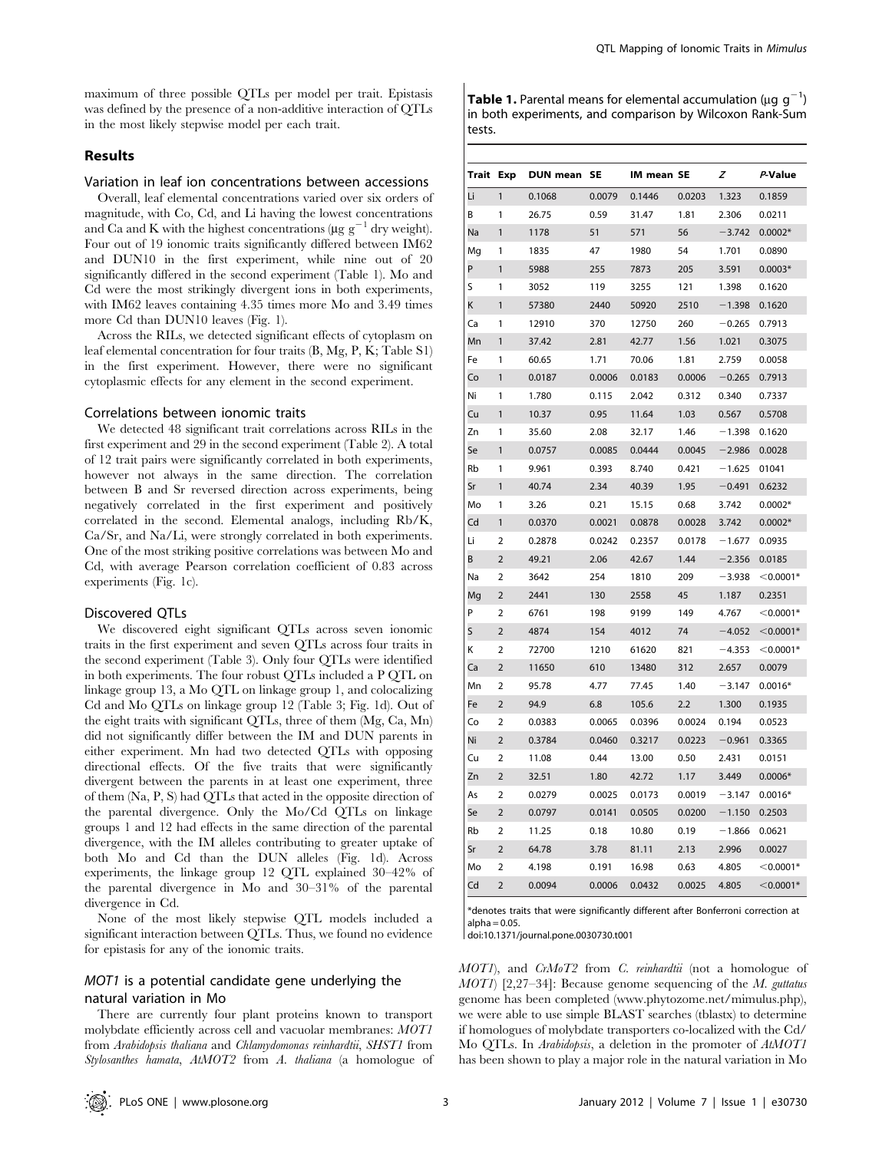maximum of three possible QTLs per model per trait. Epistasis was defined by the presence of a non-additive interaction of QTLs in the most likely stepwise model per each trait.

## Results

#### Variation in leaf ion concentrations between accessions

Overall, leaf elemental concentrations varied over six orders of magnitude, with Co, Cd, and Li having the lowest concentrations and Ca and K with the highest concentrations ( $\mu$ g g<sup>-1</sup> dry weight). Four out of 19 ionomic traits significantly differed between IM62 and DUN10 in the first experiment, while nine out of 20 significantly differed in the second experiment (Table 1). Mo and Cd were the most strikingly divergent ions in both experiments, with IM62 leaves containing 4.35 times more Mo and 3.49 times more Cd than DUN10 leaves (Fig. 1).

Across the RILs, we detected significant effects of cytoplasm on leaf elemental concentration for four traits (B, Mg, P, K; Table S1) in the first experiment. However, there were no significant cytoplasmic effects for any element in the second experiment.

#### Correlations between ionomic traits

We detected 48 significant trait correlations across RILs in the first experiment and 29 in the second experiment (Table 2). A total of 12 trait pairs were significantly correlated in both experiments, however not always in the same direction. The correlation between B and Sr reversed direction across experiments, being negatively correlated in the first experiment and positively correlated in the second. Elemental analogs, including Rb/K, Ca/Sr, and Na/Li, were strongly correlated in both experiments. One of the most striking positive correlations was between Mo and Cd, with average Pearson correlation coefficient of 0.83 across experiments (Fig. 1c).

## Discovered QTLs

We discovered eight significant QTLs across seven ionomic traits in the first experiment and seven QTLs across four traits in the second experiment (Table 3). Only four QTLs were identified in both experiments. The four robust QTLs included a P QTL on linkage group 13, a Mo QTL on linkage group 1, and colocalizing Cd and Mo QTLs on linkage group 12 (Table 3; Fig. 1d). Out of the eight traits with significant QTLs, three of them (Mg, Ca, Mn) did not significantly differ between the IM and DUN parents in either experiment. Mn had two detected QTLs with opposing directional effects. Of the five traits that were significantly divergent between the parents in at least one experiment, three of them (Na, P, S) had QTLs that acted in the opposite direction of the parental divergence. Only the Mo/Cd QTLs on linkage groups 1 and 12 had effects in the same direction of the parental divergence, with the IM alleles contributing to greater uptake of both Mo and Cd than the DUN alleles (Fig. 1d). Across experiments, the linkage group 12 QTL explained 30–42% of the parental divergence in Mo and 30–31% of the parental divergence in Cd.

None of the most likely stepwise QTL models included a significant interaction between QTLs. Thus, we found no evidence for epistasis for any of the ionomic traits.

## MOT1 is a potential candidate gene underlying the natural variation in Mo

There are currently four plant proteins known to transport molybdate efficiently across cell and vacuolar membranes: MOT1 from Arabidopsis thaliana and Chlamydomonas reinhardtii, SHST1 from Stylosanthes hamata, AtMOT2 from A. thaliana (a homologue of

**Table 1.** Parental means for elemental accumulation ( $\mu$ g g<sup>-1</sup>) in both experiments, and comparison by Wilcoxon Rank-Sum tests.

| <b>Trait Exp</b> |                | <b>DUN mean</b> | <b>SE</b> | IM mean SE |        | z        | P-Value     |
|------------------|----------------|-----------------|-----------|------------|--------|----------|-------------|
| Li               | 1              | 0.1068          | 0.0079    | 0.1446     | 0.0203 | 1.323    | 0.1859      |
| В                | 1              | 26.75           | 0.59      | 31.47      | 1.81   | 2.306    | 0.0211      |
| Na               | 1              | 1178            | 51        | 571        | 56     | $-3.742$ | $0.0002*$   |
| Mg               | 1              | 1835            | 47        | 1980       | 54     | 1.701    | 0.0890      |
| P                | 1              | 5988            | 255       | 7873       | 205    | 3.591    | $0.0003*$   |
| S                | 1              | 3052            | 119       | 3255       | 121    | 1.398    | 0.1620      |
| Κ                | 1              | 57380           | 2440      | 50920      | 2510   | $-1.398$ | 0.1620      |
| Ca               | 1              | 12910           | 370       | 12750      | 260    | $-0.265$ | 0.7913      |
| Mn               | 1              | 37.42           | 2.81      | 42.77      | 1.56   | 1.021    | 0.3075      |
| Fe               | 1              | 60.65           | 1.71      | 70.06      | 1.81   | 2.759    | 0.0058      |
| Co               | 1              | 0.0187          | 0.0006    | 0.0183     | 0.0006 | $-0.265$ | 0.7913      |
| Ni               | 1              | 1.780           | 0.115     | 2.042      | 0.312  | 0.340    | 0.7337      |
| Cu               | 1              | 10.37           | 0.95      | 11.64      | 1.03   | 0.567    | 0.5708      |
| Zn               | 1              | 35.60           | 2.08      | 32.17      | 1.46   | $-1.398$ | 0.1620      |
| Se               | 1              | 0.0757          | 0.0085    | 0.0444     | 0.0045 | $-2.986$ | 0.0028      |
| Rb               | 1              | 9.961           | 0.393     | 8.740      | 0.421  | $-1.625$ | 01041       |
| Sr               | 1              | 40.74           | 2.34      | 40.39      | 1.95   | $-0.491$ | 0.6232      |
| Mo               | 1              | 3.26            | 0.21      | 15.15      | 0.68   | 3.742    | $0.0002*$   |
| Cd               | 1              | 0.0370          | 0.0021    | 0.0878     | 0.0028 | 3.742    | $0.0002*$   |
| Li               | 2              | 0.2878          | 0.0242    | 0.2357     | 0.0178 | $-1.677$ | 0.0935      |
| B                | $\overline{2}$ | 49.21           | 2.06      | 42.67      | 1.44   | $-2.356$ | 0.0185      |
| Na               | 2              | 3642            | 254       | 1810       | 209    | $-3.938$ | $<$ 0.0001* |
| Mg               | 2              | 2441            | 130       | 2558       | 45     | 1.187    | 0.2351      |
| P                | 2              | 6761            | 198       | 9199       | 149    | 4.767    | $<$ 0.0001* |
| S                | $\overline{2}$ | 4874            | 154       | 4012       | 74     | $-4.052$ | $<$ 0.0001* |
| Κ                | 2              | 72700           | 1210      | 61620      | 821    | $-4.353$ | $<$ 0.0001* |
| Ca               | $\overline{2}$ | 11650           | 610       | 13480      | 312    | 2.657    | 0.0079      |
| Mn               | 2              | 95.78           | 4.77      | 77.45      | 1.40   | $-3.147$ | $0.0016*$   |
| Fe               | $\overline{2}$ | 94.9            | 6.8       | 105.6      | 2.2    | 1.300    | 0.1935      |
| Co               | 2              | 0.0383          | 0.0065    | 0.0396     | 0.0024 | 0.194    | 0.0523      |
| Ni               | $\overline{2}$ | 0.3784          | 0.0460    | 0.3217     | 0.0223 | $-0.961$ | 0.3365      |
| Cu               | 2              | 11.08           | 0.44      | 13.00      | 0.50   | 2.431    | 0.0151      |
| Zn               | 2              | 32.51           | 1.80      | 42.72      | 1.17   | 3.449    | $0.0006*$   |
| As               | 2              | 0.0279          | 0.0025    | 0.0173     | 0.0019 | $-3.147$ | $0.0016*$   |
| Se               | 2              | 0.0797          | 0.0141    | 0.0505     | 0.0200 | $-1.150$ | 0.2503      |
| Rb               | 2              | 11.25           | 0.18      | 10.80      | 0.19   | $-1.866$ | 0.0621      |
| Sr               | 2              | 64.78           | 3.78      | 81.11      | 2.13   | 2.996    | 0.0027      |
| Mo               | $\overline{2}$ | 4.198           | 0.191     | 16.98      | 0.63   | 4.805    | $<$ 0.0001* |
| Cd               | $\overline{2}$ | 0.0094          | 0.0006    | 0.0432     | 0.0025 | 4.805    | $<$ 0.0001* |

\*denotes traits that were significantly different after Bonferroni correction at  $alpha = 0.05$ .

doi:10.1371/journal.pone.0030730.t001

MOT1), and CrMoT2 from C. reinhardtii (not a homologue of  $MOTI$  [2,27–34]: Because genome sequencing of the M. guttatus genome has been completed (www.phytozome.net/mimulus.php), we were able to use simple BLAST searches (tblastx) to determine if homologues of molybdate transporters co-localized with the Cd/ Mo QTLs. In Arabidopsis, a deletion in the promoter of AtMOT1 has been shown to play a major role in the natural variation in Mo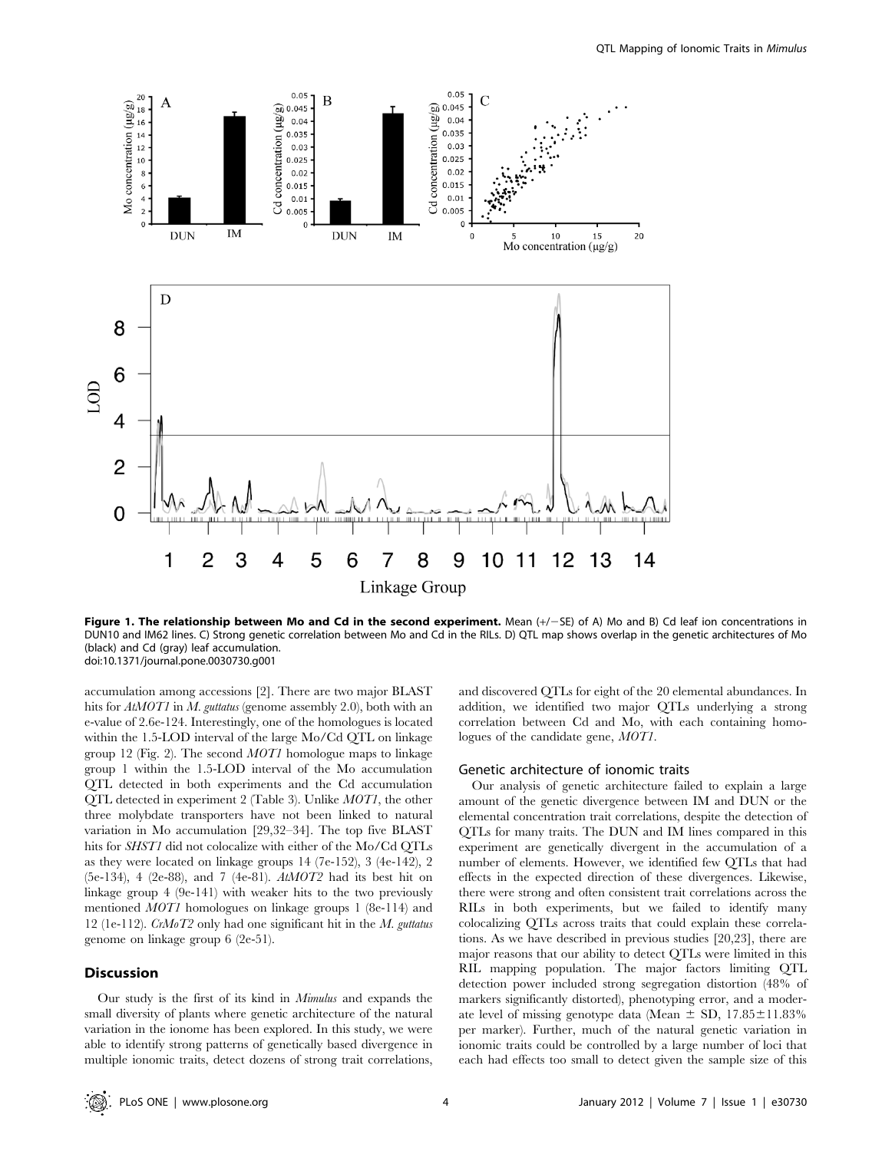

Figure 1. The relationship between Mo and Cd in the second experiment. Mean  $(+/-SE)$  of A) Mo and B) Cd leaf ion concentrations in DUN10 and IM62 lines. C) Strong genetic correlation between Mo and Cd in the RILs. D) QTL map shows overlap in the genetic architectures of Mo (black) and Cd (gray) leaf accumulation. doi:10.1371/journal.pone.0030730.g001

accumulation among accessions [2]. There are two major BLAST hits for AtMOT1 in M. guttatus (genome assembly 2.0), both with an e-value of 2.6e-124. Interestingly, one of the homologues is located within the 1.5-LOD interval of the large Mo/Cd QTL on linkage group 12 (Fig. 2). The second  $MOT1$  homologue maps to linkage group 1 within the 1.5-LOD interval of the Mo accumulation QTL detected in both experiments and the Cd accumulation QTL detected in experiment 2 (Table 3). Unlike MOT1, the other three molybdate transporters have not been linked to natural variation in Mo accumulation [29,32–34]. The top five BLAST hits for SHST1 did not colocalize with either of the Mo/Cd QTLs as they were located on linkage groups 14 (7e-152), 3 (4e-142), 2 (5e-134), 4 (2e-88), and 7 (4e-81).  $AtMOT2$  had its best hit on linkage group 4 (9e-141) with weaker hits to the two previously mentioned MOT1 homologues on linkage groups 1 (8e-114) and 12 (1e-112).  $CrMoT2$  only had one significant hit in the M. guttatus genome on linkage group 6 (2e-51).

#### **Discussion**

Our study is the first of its kind in Mimulus and expands the small diversity of plants where genetic architecture of the natural variation in the ionome has been explored. In this study, we were able to identify strong patterns of genetically based divergence in multiple ionomic traits, detect dozens of strong trait correlations,

and discovered QTLs for eight of the 20 elemental abundances. In addition, we identified two major QTLs underlying a strong correlation between Cd and Mo, with each containing homologues of the candidate gene, MOT1.

#### Genetic architecture of ionomic traits

Our analysis of genetic architecture failed to explain a large amount of the genetic divergence between IM and DUN or the elemental concentration trait correlations, despite the detection of QTLs for many traits. The DUN and IM lines compared in this experiment are genetically divergent in the accumulation of a number of elements. However, we identified few QTLs that had effects in the expected direction of these divergences. Likewise, there were strong and often consistent trait correlations across the RILs in both experiments, but we failed to identify many colocalizing QTLs across traits that could explain these correlations. As we have described in previous studies [20,23], there are major reasons that our ability to detect QTLs were limited in this RIL mapping population. The major factors limiting QTL detection power included strong segregation distortion (48% of markers significantly distorted), phenotyping error, and a moderate level of missing genotype data (Mean  $\pm$  SD, 17.85 $\pm$ 11.83%) per marker). Further, much of the natural genetic variation in ionomic traits could be controlled by a large number of loci that each had effects too small to detect given the sample size of this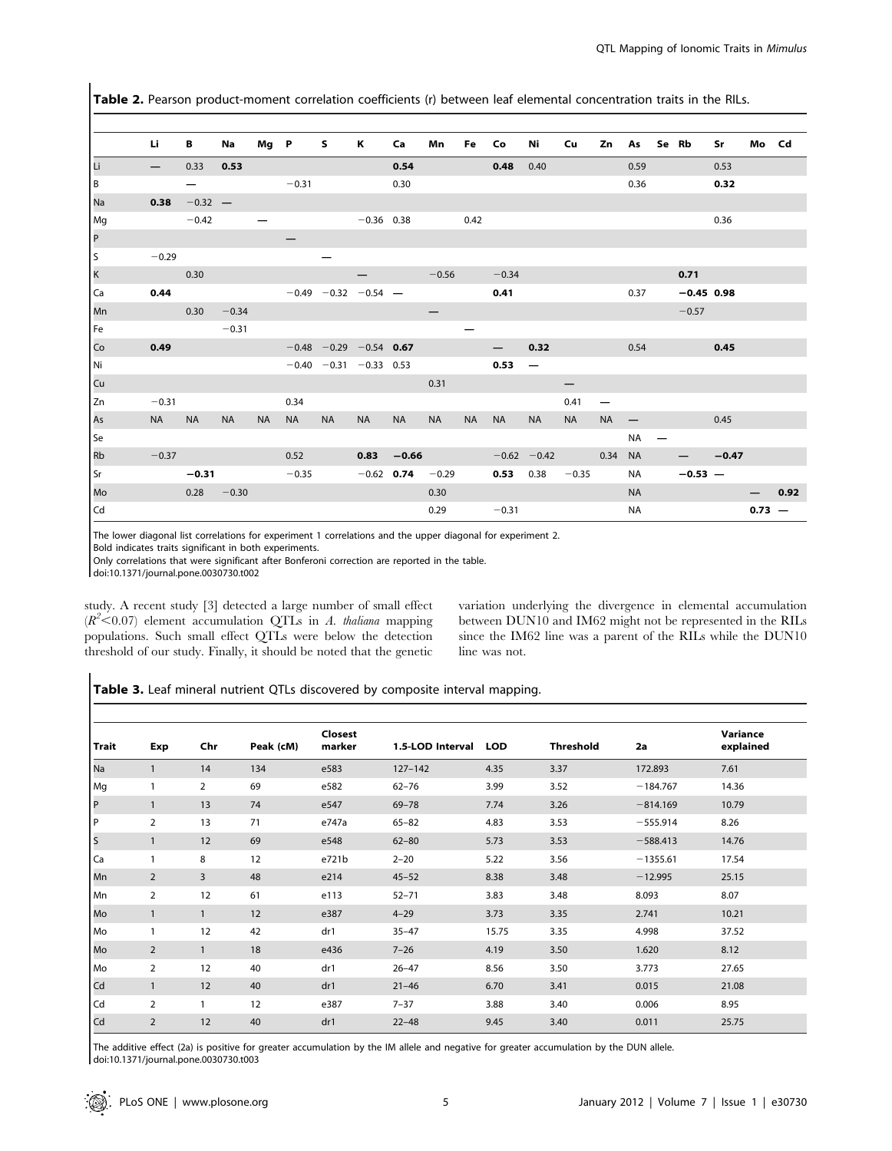Table 2. Pearson product-moment correlation coefficients (r) between leaf elemental concentration traits in the RILs.

|                | Li              | В         | Na        | Mg P      |           | s.                           | к            | Ca                   | Mn        | Fe        | Co            | Ni                       | Cu        | Zn              | As        |   | Se Rb        | Sr      | Mo Cd    |      |
|----------------|-----------------|-----------|-----------|-----------|-----------|------------------------------|--------------|----------------------|-----------|-----------|---------------|--------------------------|-----------|-----------------|-----------|---|--------------|---------|----------|------|
| lū             | $\qquad \qquad$ | 0.33      | 0.53      |           |           |                              |              | 0.54                 |           |           | 0.48          | 0.40                     |           |                 | 0.59      |   |              | 0.53    |          |      |
| Iв             |                 |           |           |           | $-0.31$   |                              |              | 0.30                 |           |           |               |                          |           |                 | 0.36      |   |              | 0.32    |          |      |
| Na             | 0.38            | $-0.32 -$ |           |           |           |                              |              |                      |           |           |               |                          |           |                 |           |   |              |         |          |      |
| Mg             |                 | $-0.42$   |           |           |           |                              | $-0.36$ 0.38 |                      |           | 0.42      |               |                          |           |                 |           |   |              | 0.36    |          |      |
| $\vert$ P      |                 |           |           |           |           |                              |              |                      |           |           |               |                          |           |                 |           |   |              |         |          |      |
| s              | $-0.29$         |           |           |           |           |                              |              |                      |           |           |               |                          |           |                 |           |   |              |         |          |      |
| $\vert$ K      |                 | 0.30      |           |           |           |                              |              |                      | $-0.56$   |           | $-0.34$       |                          |           |                 |           |   | 0.71         |         |          |      |
| Ca             | 0.44            |           |           |           |           | $-0.49$ $-0.32$ $-0.54$ -    |              |                      |           |           | 0.41          |                          |           |                 | 0.37      |   | $-0.45$ 0.98 |         |          |      |
| Mn             |                 | 0.30      | $-0.34$   |           |           |                              |              |                      |           |           |               |                          |           |                 |           |   | $-0.57$      |         |          |      |
| Fe             |                 |           | $-0.31$   |           |           |                              |              |                      |           |           |               |                          |           |                 |           |   |              |         |          |      |
| Co             | 0.49            |           |           |           |           | $-0.48$ $-0.29$ $-0.54$ 0.67 |              |                      |           |           |               | 0.32                     |           |                 | 0.54      |   |              | 0.45    |          |      |
| Ni.            |                 |           |           |           |           | $-0.40 -0.31 -0.33 0.53$     |              |                      |           |           | $0.53 -$      |                          |           |                 |           |   |              |         |          |      |
| cu             |                 |           |           |           |           |                              |              |                      | 0.31      |           |               |                          |           |                 |           |   |              |         |          |      |
| Zn             | $-0.31$         |           |           |           | 0.34      |                              |              |                      |           |           |               |                          | 0.41      | $\qquad \qquad$ |           |   |              |         |          |      |
| As             | NA D            | <b>NA</b> | <b>NA</b> | <b>NA</b> | <b>NA</b> | <b>NA</b>                    | NA.          | <b>NA</b>            | <b>NA</b> | <b>NA</b> | <b>NA</b>     | <b>NA</b>                | <b>NA</b> | <b>NA</b>       |           |   |              | 0.45    |          |      |
| Se             |                 |           |           |           |           |                              |              |                      |           |           |               |                          |           |                 | <b>NA</b> | — |              |         |          |      |
| R <sub>b</sub> | $-0.37$         |           |           |           | 0.52      |                              | 0.83         | $-0.66$              |           |           | $-0.62 -0.42$ |                          | 0.34      |                 | <b>NA</b> |   |              | $-0.47$ |          |      |
| Sr             |                 | $-0.31$   |           |           | $-0.35$   |                              |              | $-0.62$ 0.74 $-0.29$ |           |           |               | <b>0.53</b> 0.38 $-0.35$ |           |                 | NA        |   | $-0.53 -$    |         |          |      |
| Mo             |                 | 0.28      | $-0.30$   |           |           |                              |              |                      | 0.30      |           |               |                          |           |                 | <b>NA</b> |   |              |         |          | 0.92 |
| Cd             |                 |           |           |           |           |                              |              |                      | 0.29      |           | $-0.31$       |                          |           |                 | <b>NA</b> |   |              |         | $0.73 -$ |      |

The lower diagonal list correlations for experiment 1 correlations and the upper diagonal for experiment 2.

Bold indicates traits significant in both experiments.

Only correlations that were significant after Bonferoni correction are reported in the table.

doi:10.1371/journal.pone.0030730.t002

study. A recent study [3] detected a large number of small effect  $(R^2<0.07)$  element accumulation QTLs in A. thaliana mapping populations. Such small effect QTLs were below the detection threshold of our study. Finally, it should be noted that the genetic variation underlying the divergence in elemental accumulation between DUN10 and IM62 might not be represented in the RILs since the IM62 line was a parent of the RILs while the DUN10 line was not.

Table 3. Leaf mineral nutrient QTLs discovered by composite interval mapping.

|       |                |                |           | <b>Closest</b> |                  |            |                  |            | Variance  |
|-------|----------------|----------------|-----------|----------------|------------------|------------|------------------|------------|-----------|
| Trait | Exp            | Chr            | Peak (cM) | marker         | 1.5-LOD Interval | <b>LOD</b> | <b>Threshold</b> | 2a         | explained |
| Na    | $\mathbf{1}$   | 14             | 134       | e583           | $127 - 142$      | 4.35       | 3.37             | 172.893    | 7.61      |
| Mg    | 1              | $\overline{2}$ | 69        | e582           | $62 - 76$        | 3.99       | 3.52             | $-184.767$ | 14.36     |
| P     | $\mathbf{1}$   | 13             | 74        | e547           | $69 - 78$        | 7.74       | 3.26             | $-814.169$ | 10.79     |
| P     | $\overline{2}$ | 13             | 71        | e747a          | $65 - 82$        | 4.83       | 3.53             | $-555.914$ | 8.26      |
| S     | $\mathbf{1}$   | 12             | 69        | e548           | $62 - 80$        | 5.73       | 3.53             | $-588.413$ | 14.76     |
| Ca    | $\mathbf{1}$   | 8              | 12        | e721b          | $2 - 20$         | 5.22       | 3.56             | $-1355.61$ | 17.54     |
| Mn    | 2              | 3              | 48        | e214           | $45 - 52$        | 8.38       | 3.48             | $-12.995$  | 25.15     |
| Mn    | 2              | 12             | 61        | e113           | $52 - 71$        | 3.83       | 3.48             | 8.093      | 8.07      |
| Mo    | $\mathbf{1}$   | $\mathbf{1}$   | 12        | e387           | $4 - 29$         | 3.73       | 3.35             | 2.741      | 10.21     |
| Mo    | $\mathbf{1}$   | 12             | 42        | dr1            | $35 - 47$        | 15.75      | 3.35             | 4.998      | 37.52     |
| Mo    | $\overline{2}$ | $\mathbf{1}$   | 18        | e436           | $7 - 26$         | 4.19       | 3.50             | 1.620      | 8.12      |
| Mo    | $\overline{2}$ | 12             | 40        | dr1            | $26 - 47$        | 8.56       | 3.50             | 3.773      | 27.65     |
| Cd    | $\mathbf{1}$   | 12             | 40        | dr1            | $21 - 46$        | 6.70       | 3.41             | 0.015      | 21.08     |
| Cd    | 2              | $\mathbf{1}$   | 12        | e387           | $7 - 37$         | 3.88       | 3.40             | 0.006      | 8.95      |
| Cd    | $\overline{2}$ | 12             | 40        | dr1            | $22 - 48$        | 9.45       | 3.40             | 0.011      | 25.75     |

The additive effect (2a) is positive for greater accumulation by the IM allele and negative for greater accumulation by the DUN allele. doi:10.1371/journal.pone.0030730.t003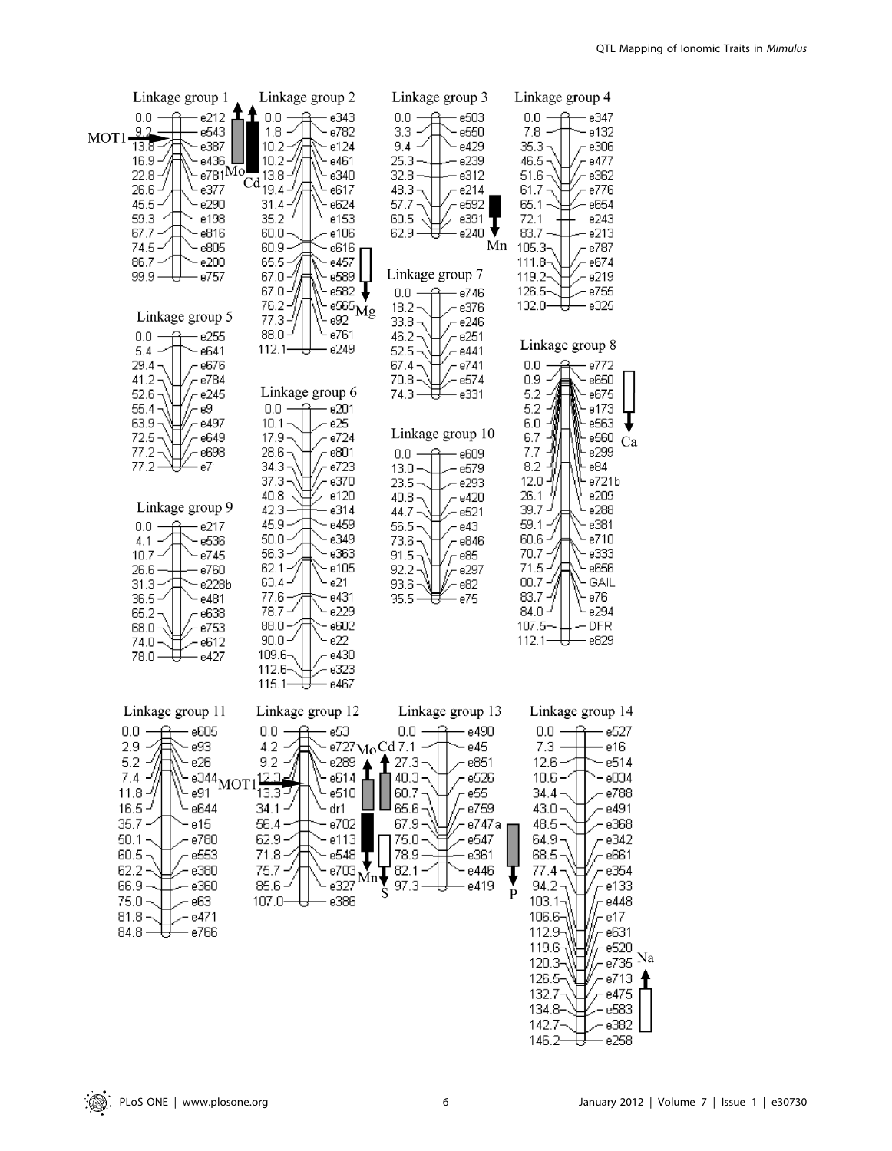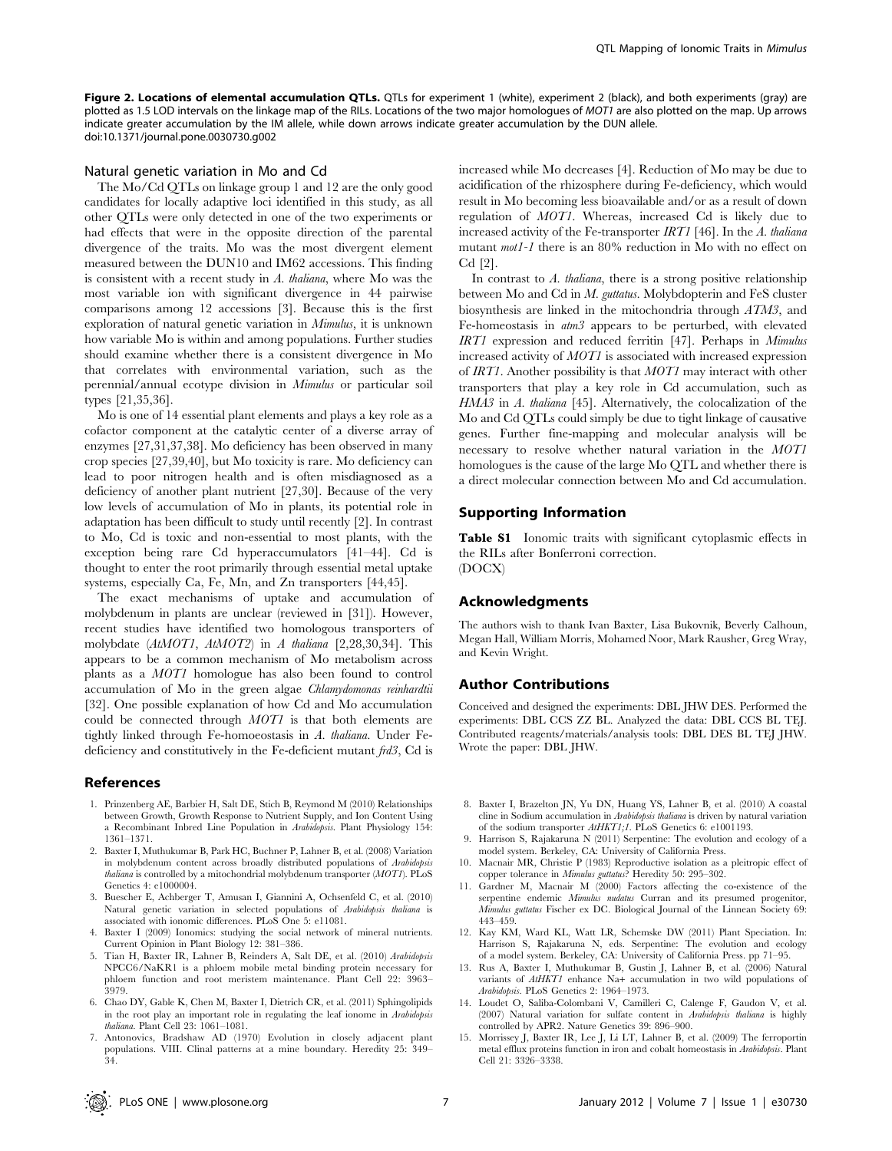Figure 2. Locations of elemental accumulation QTLs. QTLs for experiment 1 (white), experiment 2 (black), and both experiments (gray) are plotted as 1.5 LOD intervals on the linkage map of the RILs. Locations of the two major homologues of MOT1 are also plotted on the map. Up arrows indicate greater accumulation by the IM allele, while down arrows indicate greater accumulation by the DUN allele. doi:10.1371/journal.pone.0030730.g002

#### Natural genetic variation in Mo and Cd

The Mo/Cd QTLs on linkage group 1 and 12 are the only good candidates for locally adaptive loci identified in this study, as all other QTLs were only detected in one of the two experiments or had effects that were in the opposite direction of the parental divergence of the traits. Mo was the most divergent element measured between the DUN10 and IM62 accessions. This finding is consistent with a recent study in A. thaliana, where Mo was the most variable ion with significant divergence in 44 pairwise comparisons among 12 accessions [3]. Because this is the first exploration of natural genetic variation in Mimulus, it is unknown how variable Mo is within and among populations. Further studies should examine whether there is a consistent divergence in Mo that correlates with environmental variation, such as the perennial/annual ecotype division in Mimulus or particular soil types [21,35,36].

Mo is one of 14 essential plant elements and plays a key role as a cofactor component at the catalytic center of a diverse array of enzymes [27,31,37,38]. Mo deficiency has been observed in many crop species [27,39,40], but Mo toxicity is rare. Mo deficiency can lead to poor nitrogen health and is often misdiagnosed as a deficiency of another plant nutrient [27,30]. Because of the very low levels of accumulation of Mo in plants, its potential role in adaptation has been difficult to study until recently [2]. In contrast to Mo, Cd is toxic and non-essential to most plants, with the exception being rare Cd hyperaccumulators [41–44]. Cd is thought to enter the root primarily through essential metal uptake systems, especially Ca, Fe, Mn, and Zn transporters [44,45].

The exact mechanisms of uptake and accumulation of molybdenum in plants are unclear (reviewed in [31]). However, recent studies have identified two homologous transporters of molybdate (AtMOT1, AtMOT2) in A thaliana [2,28,30,34]. This appears to be a common mechanism of Mo metabolism across plants as a MOT1 homologue has also been found to control accumulation of Mo in the green algae Chlamydomonas reinhardtii [32]. One possible explanation of how Cd and Mo accumulation could be connected through MOT1 is that both elements are tightly linked through Fe-homoeostasis in A. thaliana. Under Fedeficiency and constitutively in the Fe-deficient mutant frd3, Cd is

#### References

- 1. Prinzenberg AE, Barbier H, Salt DE, Stich B, Reymond M (2010) Relationships between Growth, Growth Response to Nutrient Supply, and Ion Content Using a Recombinant Inbred Line Population in Arabidopsis. Plant Physiology 154: 1361–1371.
- 2. Baxter I, Muthukumar B, Park HC, Buchner P, Lahner B, et al. (2008) Variation in molybdenum content across broadly distributed populations of Arabidopsis thaliana is controlled by a mitochondrial molybdenum transporter (MOT1). PLoS Genetics 4: e1000004.
- 3. Buescher E, Achberger T, Amusan I, Giannini A, Ochsenfeld C, et al. (2010) Natural genetic variation in selected populations of Arabidopsis thaliana is associated with ionomic differences. PLoS One 5: e11081.
- 4. Baxter I (2009) Ionomics: studying the social network of mineral nutrients. Current Opinion in Plant Biology 12: 381–386.
- 5. Tian H, Baxter IR, Lahner B, Reinders A, Salt DE, et al. (2010) Arabidopsis NPCC6/NaKR1 is a phloem mobile metal binding protein necessary for phloem function and root meristem maintenance. Plant Cell 22: 3963– 3979.
- 6. Chao DY, Gable K, Chen M, Baxter I, Dietrich CR, et al. (2011) Sphingolipids in the root play an important role in regulating the leaf ionome in Arabidopsis thaliana. Plant Cell 23: 1061–1081.
- 7. Antonovics, Bradshaw AD (1970) Evolution in closely adjacent plant populations. VIII. Clinal patterns at a mine boundary. Heredity 25: 349– 34.

increased while Mo decreases [4]. Reduction of Mo may be due to acidification of the rhizosphere during Fe-deficiency, which would result in Mo becoming less bioavailable and/or as a result of down regulation of MOT1. Whereas, increased Cd is likely due to increased activity of the Fe-transporter IRT1 [46]. In the A. thaliana mutant mot1-1 there is an 80% reduction in Mo with no effect on Cd [2].

In contrast to  $A$ . *thaliana*, there is a strong positive relationship between Mo and Cd in M. guttatus. Molybdopterin and FeS cluster biosynthesis are linked in the mitochondria through ATM3, and Fe-homeostasis in atm3 appears to be perturbed, with elevated IRT1 expression and reduced ferritin [47]. Perhaps in Mimulus increased activity of MOT1 is associated with increased expression of IRT1. Another possibility is that MOT1 may interact with other transporters that play a key role in Cd accumulation, such as HMA3 in A. thaliana [45]. Alternatively, the colocalization of the Mo and Cd QTLs could simply be due to tight linkage of causative genes. Further fine-mapping and molecular analysis will be necessary to resolve whether natural variation in the MOT1 homologues is the cause of the large Mo QTL and whether there is a direct molecular connection between Mo and Cd accumulation.

## Supporting Information

Table S1 Ionomic traits with significant cytoplasmic effects in the RILs after Bonferroni correction. (DOCX)

## Acknowledgments

The authors wish to thank Ivan Baxter, Lisa Bukovnik, Beverly Calhoun, Megan Hall, William Morris, Mohamed Noor, Mark Rausher, Greg Wray, and Kevin Wright.

#### Author Contributions

Conceived and designed the experiments: DBL JHW DES. Performed the experiments: DBL CCS ZZ BL. Analyzed the data: DBL CCS BL TEJ. Contributed reagents/materials/analysis tools: DBL DES BL TEJ JHW. Wrote the paper: DBL JHW.

- 8. Baxter I, Brazelton JN, Yu DN, Huang YS, Lahner B, et al. (2010) A coastal cline in Sodium accumulation in Arabidopsis thaliana is driven by natural variation of the sodium transporter AtHKT1;1. PLoS Genetics 6: e1001193.
- 9. Harrison S, Rajakaruna N (2011) Serpentine: The evolution and ecology of a model system. Berkeley, CA: University of California Press.
- 10. Macnair MR, Christie P (1983) Reproductive isolation as a pleitropic effect of copper tolerance in Mimulus guttatus? Heredity 50: 295–302.
- 11. Gardner M, Macnair M (2000) Factors affecting the co-existence of the serpentine endemic Mimulus nudatus Curran and its presumed progenitor, Mimulus guttatus Fischer ex DC. Biological Journal of the Linnean Society 69: 443–459.
- 12. Kay KM, Ward KL, Watt LR, Schemske DW (2011) Plant Speciation. In: Harrison S, Rajakaruna N, eds. Serpentine: The evolution and ecology of a model system. Berkeley, CA: University of California Press. pp 71–95.
- 13. Rus A, Baxter I, Muthukumar B, Gustin J, Lahner B, et al. (2006) Natural variants of AtHKT1 enhance Na+ accumulation in two wild populations of Arabidopsis. PLoS Genetics 2: 1964–1973.
- 14. Loudet O, Saliba-Colombani V, Camilleri C, Calenge F, Gaudon V, et al. (2007) Natural variation for sulfate content in Arabidopsis thaliana is highly controlled by APR2. Nature Genetics 39: 896–900.
- 15. Morrissey J, Baxter IR, Lee J, Li LT, Lahner B, et al. (2009) The ferroportin metal efflux proteins function in iron and cobalt homeostasis in Arabidopsis. Plant Cell 21: 3326–3338.